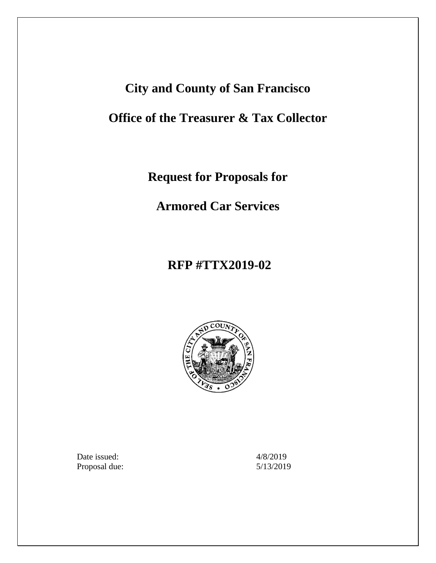# **City and County of San Francisco**

# **Office of the Treasurer & Tax Collector**

**Request for Proposals for**

**Armored Car Services**

# **RFP #TTX2019-02**



Date issued:  $4/8/2019$ Proposal due: 5/13/2019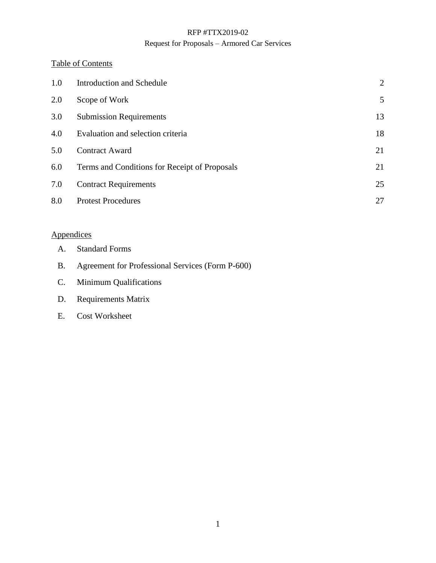### Request for Proposals – Armored Car Services

### Table of Contents

| 1.0 | Introduction and Schedule                     | $\overline{2}$ |
|-----|-----------------------------------------------|----------------|
| 2.0 | Scope of Work                                 | 5              |
| 3.0 | <b>Submission Requirements</b>                | 13             |
| 4.0 | Evaluation and selection criteria             | 18             |
| 5.0 | <b>Contract Award</b>                         | 21             |
| 6.0 | Terms and Conditions for Receipt of Proposals | 21             |
| 7.0 | <b>Contract Requirements</b>                  | 25             |
| 8.0 | <b>Protest Procedures</b>                     | 27             |

# **Appendices**

- A. Standard Forms
- B. Agreement for Professional Services (Form P-600)
- C. Minimum Qualifications
- D. Requirements Matrix
- E. Cost Worksheet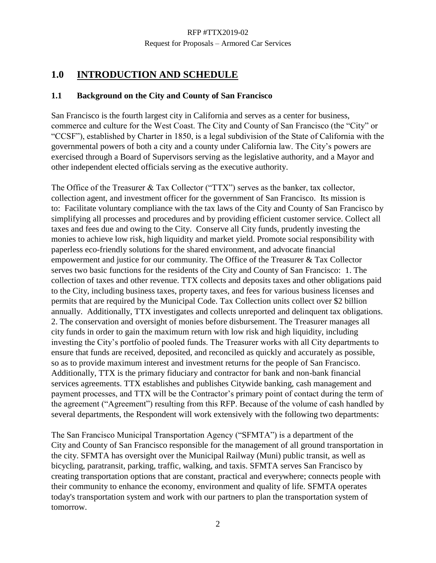# <span id="page-2-0"></span>**1.0 INTRODUCTION AND SCHEDULE**

### **1.1 Background on the City and County of San Francisco**

San Francisco is the fourth largest city in California and serves as a center for business, commerce and culture for the West Coast. The City and County of San Francisco (the "City" or "CCSF"), established by Charter in 1850, is a legal subdivision of the State of California with the governmental powers of both a city and a county under California law. The City's powers are exercised through a Board of Supervisors serving as the legislative authority, and a Mayor and other independent elected officials serving as the executive authority.

The Office of the Treasurer & Tax Collector ("TTX") serves as the banker, tax collector, collection agent, and investment officer for the government of San Francisco. Its mission is to: Facilitate voluntary compliance with the tax laws of the City and County of San Francisco by simplifying all processes and procedures and by providing efficient customer service. Collect all taxes and fees due and owing to the City. Conserve all City funds, prudently investing the monies to achieve low risk, high liquidity and market yield. Promote social responsibility with paperless eco-friendly solutions for the shared environment, and advocate financial empowerment and justice for our community. The Office of the Treasurer & Tax Collector serves two basic functions for the residents of the City and County of San Francisco: 1. The collection of taxes and other revenue. TTX collects and deposits taxes and other obligations paid to the City, including business taxes, property taxes, and fees for various business licenses and permits that are required by the Municipal Code. Tax Collection units collect over \$2 billion annually. Additionally, TTX investigates and collects unreported and delinquent tax obligations. 2. The conservation and oversight of monies before disbursement. The Treasurer manages all city funds in order to gain the maximum return with low risk and high liquidity, including investing the City's portfolio of pooled funds. The Treasurer works with all City departments to ensure that funds are received, deposited, and reconciled as quickly and accurately as possible, so as to provide maximum interest and investment returns for the people of San Francisco. Additionally, TTX is the primary fiduciary and contractor for bank and non-bank financial services agreements. TTX establishes and publishes Citywide banking, cash management and payment processes, and TTX will be the Contractor's primary point of contact during the term of the agreement ("Agreement") resulting from this RFP. Because of the volume of cash handled by several departments, the Respondent will work extensively with the following two departments:

The San Francisco Municipal Transportation Agency ("SFMTA") is a department of the City and County of San Francisco responsible for the management of all ground transportation in the city. SFMTA has oversight over the Municipal Railway (Muni) public transit, as well as bicycling, paratransit, parking, traffic, walking, and taxis. SFMTA serves San Francisco by creating transportation options that are constant, practical and everywhere; connects people with their community to enhance the economy, environment and quality of life. SFMTA operates today's transportation system and work with our partners to plan the transportation system of tomorrow.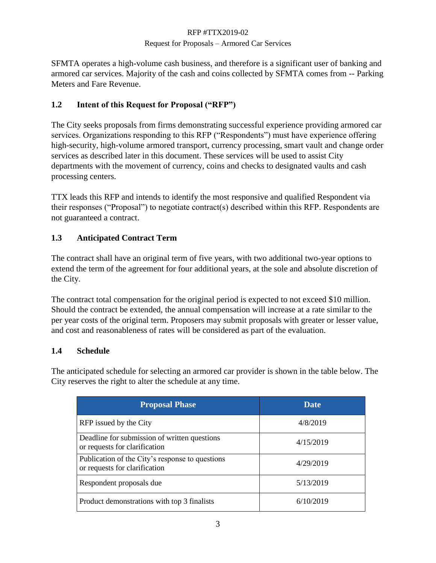### Request for Proposals – Armored Car Services

SFMTA operates a high-volume cash business, and therefore is a significant user of banking and armored car services. Majority of the cash and coins collected by SFMTA comes from -- Parking Meters and Fare Revenue.

# **1.2 Intent of this Request for Proposal ("RFP")**

The City seeks proposals from firms demonstrating successful experience providing armored car services. Organizations responding to this RFP ("Respondents") must have experience offering high-security, high-volume armored transport, currency processing, smart vault and change order services as described later in this document. These services will be used to assist City departments with the movement of currency, coins and checks to designated vaults and cash processing centers.

TTX leads this RFP and intends to identify the most responsive and qualified Respondent via their responses ("Proposal") to negotiate contract(s) described within this RFP. Respondents are not guaranteed a contract.

# **1.3 Anticipated Contract Term**

The contract shall have an original term of five years, with two additional two-year options to extend the term of the agreement for four additional years, at the sole and absolute discretion of the City.

The contract total compensation for the original period is expected to not exceed \$10 million. Should the contract be extended, the annual compensation will increase at a rate similar to the per year costs of the original term. Proposers may submit proposals with greater or lesser value, and cost and reasonableness of rates will be considered as part of the evaluation.

# **1.4 Schedule**

The anticipated schedule for selecting an armored car provider is shown in the table below. The City reserves the right to alter the schedule at any time.

| <b>Proposal Phase</b>                                                            | Date      |
|----------------------------------------------------------------------------------|-----------|
| RFP issued by the City                                                           | 4/8/2019  |
| Deadline for submission of written questions<br>or requests for clarification    | 4/15/2019 |
| Publication of the City's response to questions<br>or requests for clarification | 4/29/2019 |
| Respondent proposals due                                                         | 5/13/2019 |
| Product demonstrations with top 3 finalists                                      | 6/10/2019 |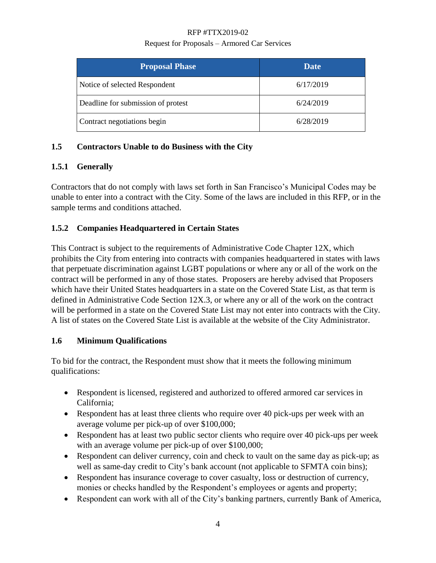### Request for Proposals – Armored Car Services

| <b>Proposal Phase</b>              | Date      |
|------------------------------------|-----------|
| Notice of selected Respondent      | 6/17/2019 |
| Deadline for submission of protest | 6/24/2019 |
| Contract negotiations begin        | 6/28/2019 |

# **1.5 Contractors Unable to do Business with the City**

# **1.5.1 Generally**

Contractors that do not comply with laws set forth in San Francisco's Municipal Codes may be unable to enter into a contract with the City. Some of the laws are included in this RFP, or in the sample terms and conditions attached.

# **1.5.2 Companies Headquartered in Certain States**

This Contract is subject to the requirements of Administrative Code Chapter 12X, which prohibits the City from entering into contracts with companies headquartered in states with laws that perpetuate discrimination against LGBT populations or where any or all of the work on the contract will be performed in any of those states. Proposers are hereby advised that Proposers which have their United States headquarters in a state on the Covered State List, as that term is defined in Administrative Code Section 12X.3, or where any or all of the work on the contract will be performed in a state on the Covered State List may not enter into contracts with the City. A list of states on the Covered State List is available at the website of the City Administrator.

### **1.6 Minimum Qualifications**

To bid for the contract, the Respondent must show that it meets the following minimum qualifications:

- Respondent is licensed, registered and authorized to offered armored car services in California;
- Respondent has at least three clients who require over 40 pick-ups per week with an average volume per pick-up of over \$100,000;
- Respondent has at least two public sector clients who require over 40 pick-ups per week with an average volume per pick-up of over \$100,000;
- Respondent can deliver currency, coin and check to vault on the same day as pick-up; as well as same-day credit to City's bank account (not applicable to SFMTA coin bins);
- Respondent has insurance coverage to cover casualty, loss or destruction of currency, monies or checks handled by the Respondent's employees or agents and property;
- Respondent can work with all of the City's banking partners, currently Bank of America,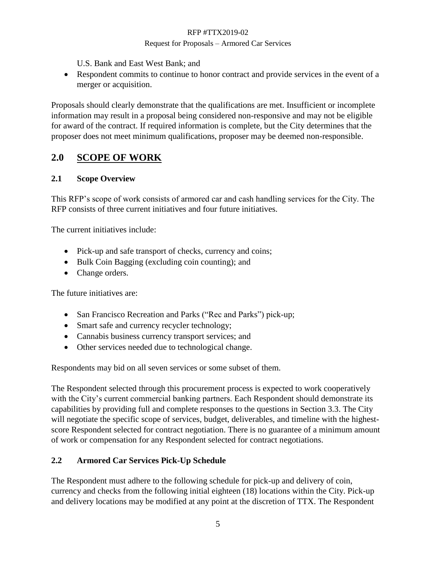### Request for Proposals – Armored Car Services

U.S. Bank and East West Bank; and

• Respondent commits to continue to honor contract and provide services in the event of a merger or acquisition.

Proposals should clearly demonstrate that the qualifications are met. Insufficient or incomplete information may result in a proposal being considered non-responsive and may not be eligible for award of the contract. If required information is complete, but the City determines that the proposer does not meet minimum qualifications, proposer may be deemed non-responsible.

# <span id="page-5-0"></span>**2.0 SCOPE OF WORK**

### **2.1 Scope Overview**

This RFP's scope of work consists of armored car and cash handling services for the City. The RFP consists of three current initiatives and four future initiatives.

The current initiatives include:

- Pick-up and safe transport of checks, currency and coins;
- Bulk Coin Bagging (excluding coin counting); and
- Change orders.

The future initiatives are:

- San Francisco Recreation and Parks ("Rec and Parks") pick-up;
- Smart safe and currency recycler technology;
- Cannabis business currency transport services; and
- Other services needed due to technological change.

Respondents may bid on all seven services or some subset of them.

The Respondent selected through this procurement process is expected to work cooperatively with the City's current commercial banking partners. Each Respondent should demonstrate its capabilities by providing full and complete responses to the questions in Section 3.3. The City will negotiate the specific scope of services, budget, deliverables, and timeline with the highestscore Respondent selected for contract negotiation. There is no guarantee of a minimum amount of work or compensation for any Respondent selected for contract negotiations.

# **2.2 Armored Car Services Pick-Up Schedule**

The Respondent must adhere to the following schedule for pick-up and delivery of coin, currency and checks from the following initial eighteen (18) locations within the City. Pick-up and delivery locations may be modified at any point at the discretion of TTX. The Respondent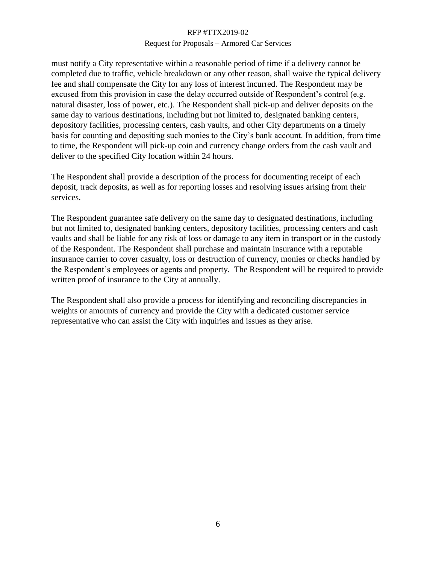### Request for Proposals – Armored Car Services

must notify a City representative within a reasonable period of time if a delivery cannot be completed due to traffic, vehicle breakdown or any other reason, shall waive the typical delivery fee and shall compensate the City for any loss of interest incurred. The Respondent may be excused from this provision in case the delay occurred outside of Respondent's control (e.g. natural disaster, loss of power, etc.). The Respondent shall pick-up and deliver deposits on the same day to various destinations, including but not limited to, designated banking centers, depository facilities, processing centers, cash vaults, and other City departments on a timely basis for counting and depositing such monies to the City's bank account. In addition, from time to time, the Respondent will pick-up coin and currency change orders from the cash vault and deliver to the specified City location within 24 hours.

The Respondent shall provide a description of the process for documenting receipt of each deposit, track deposits, as well as for reporting losses and resolving issues arising from their services.

The Respondent guarantee safe delivery on the same day to designated destinations, including but not limited to, designated banking centers, depository facilities, processing centers and cash vaults and shall be liable for any risk of loss or damage to any item in transport or in the custody of the Respondent. The Respondent shall purchase and maintain insurance with a reputable insurance carrier to cover casualty, loss or destruction of currency, monies or checks handled by the Respondent's employees or agents and property. The Respondent will be required to provide written proof of insurance to the City at annually.

The Respondent shall also provide a process for identifying and reconciling discrepancies in weights or amounts of currency and provide the City with a dedicated customer service representative who can assist the City with inquiries and issues as they arise.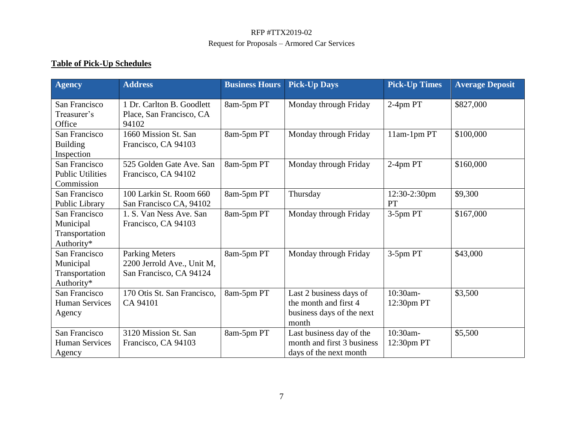# **Table of Pick-Up Schedules**

| <b>Agency</b>                                              | <b>Address</b>                                                                 | <b>Business Hours</b> | <b>Pick-Up Days</b>                                                                    | <b>Pick-Up Times</b>   | <b>Average Deposit</b> |
|------------------------------------------------------------|--------------------------------------------------------------------------------|-----------------------|----------------------------------------------------------------------------------------|------------------------|------------------------|
| San Francisco<br>Treasurer's<br>Office                     | 1 Dr. Carlton B. Goodlett<br>Place, San Francisco, CA<br>94102                 | 8am-5pm PT            | Monday through Friday                                                                  | 2-4pm PT               | \$827,000              |
| San Francisco<br><b>Building</b><br>Inspection             | 1660 Mission St. San<br>Francisco, CA 94103                                    | 8am-5pm PT            | Monday through Friday                                                                  | 11am-1pm PT            | \$100,000              |
| San Francisco<br><b>Public Utilities</b><br>Commission     | 525 Golden Gate Ave. San<br>Francisco, CA 94102                                | 8am-5pm PT            | Monday through Friday                                                                  | 2-4pm PT               | \$160,000              |
| San Francisco<br>Public Library                            | 100 Larkin St. Room 660<br>San Francisco CA, 94102                             | 8am-5pm PT            | Thursday                                                                               | 12:30-2:30pm<br>PT     | \$9,300                |
| San Francisco<br>Municipal<br>Transportation<br>Authority* | 1. S. Van Ness Ave. San<br>Francisco, CA 94103                                 | 8am-5pm PT            | Monday through Friday                                                                  | 3-5pm PT               | \$167,000              |
| San Francisco<br>Municipal<br>Transportation<br>Authority* | <b>Parking Meters</b><br>2200 Jerrold Ave., Unit M,<br>San Francisco, CA 94124 | 8am-5pm PT            | Monday through Friday                                                                  | 3-5pm PT               | \$43,000               |
| San Francisco<br><b>Human Services</b><br>Agency           | 170 Otis St. San Francisco,<br>CA 94101                                        | 8am-5pm PT            | Last 2 business days of<br>the month and first 4<br>business days of the next<br>month | 10:30am-<br>12:30pm PT | \$3,500                |
| San Francisco<br><b>Human Services</b><br>Agency           | 3120 Mission St. San<br>Francisco, CA 94103                                    | 8am-5pm PT            | Last business day of the<br>month and first 3 business<br>days of the next month       | 10:30am-<br>12:30pm PT | \$5,500                |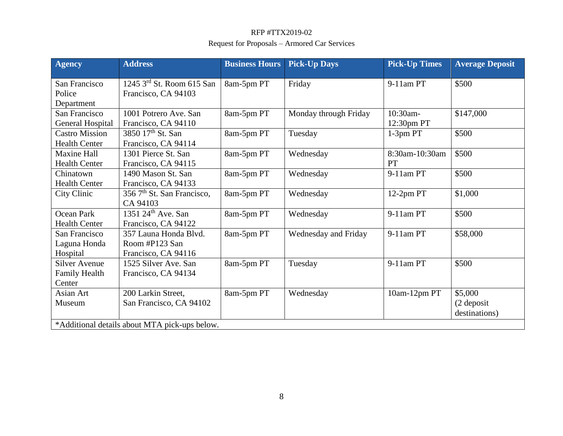| <b>Agency</b>                                          | <b>Address</b>                                                                                 | <b>Business Hours</b> | <b>Pick-Up Days</b>   | <b>Pick-Up Times</b>   | <b>Average Deposit</b>                   |
|--------------------------------------------------------|------------------------------------------------------------------------------------------------|-----------------------|-----------------------|------------------------|------------------------------------------|
| San Francisco<br>Police<br>Department                  | $1245$ 3 <sup>rd</sup> St. Room 615 San<br>Francisco, CA 94103                                 | 8am-5pm PT            | Friday                | 9-11am PT              | \$500                                    |
| San Francisco<br>General Hospital                      | 1001 Potrero Ave. San<br>Francisco, CA 94110                                                   | 8am-5pm PT            | Monday through Friday | 10:30am-<br>12:30pm PT | \$147,000                                |
| <b>Castro Mission</b><br><b>Health Center</b>          | 3850 17 <sup>th</sup> St. San<br>Francisco, CA 94114                                           | 8am-5pm PT            | Tuesday               | 1-3pm PT               | \$500                                    |
| <b>Maxine Hall</b><br><b>Health Center</b>             | 1301 Pierce St. San<br>Francisco, CA 94115                                                     | 8am-5pm PT            | Wednesday             | 8:30am-10:30am<br>PT   | \$500                                    |
| Chinatown<br><b>Health Center</b>                      | 1490 Mason St. San<br>Francisco, CA 94133                                                      | 8am-5pm PT            | Wednesday             | 9-11am PT              | \$500                                    |
| City Clinic                                            | 356 7 <sup>th</sup> St. San Francisco,<br>CA 94103                                             | 8am-5pm PT            | Wednesday             | 12-2pm PT              | \$1,000                                  |
| Ocean Park<br><b>Health Center</b>                     | 1351 $24th$ Ave. San<br>Francisco, CA 94122                                                    | 8am-5pm PT            | Wednesday             | 9-11am PT              | \$500                                    |
| San Francisco<br>Laguna Honda<br>Hospital              | 357 Launa Honda Blvd.<br>Room #P123 San<br>Francisco, CA 94116                                 | 8am-5pm PT            | Wednesday and Friday  | 9-11am PT              | \$58,000                                 |
| <b>Silver Avenue</b><br><b>Family Health</b><br>Center | 1525 Silver Ave. San<br>Francisco, CA 94134                                                    | 8am-5pm PT            | Tuesday               | 9-11am PT              | \$500                                    |
| Asian Art<br>Museum                                    | 200 Larkin Street,<br>San Francisco, CA 94102<br>*Additional details about MTA pick-ups below. | 8am-5pm PT            | Wednesday             | 10am-12pm PT           | \$5,000<br>$(2$ deposit<br>destinations) |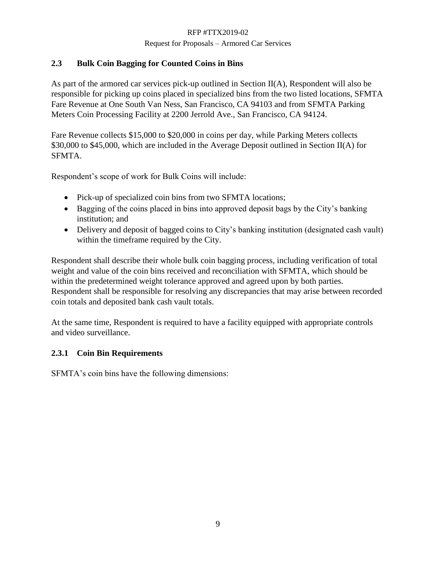### Request for Proposals – Armored Car Services

# **2.3 Bulk Coin Bagging for Counted Coins in Bins**

As part of the armored car services pick-up outlined in Section II(A), Respondent will also be responsible for picking up coins placed in specialized bins from the two listed locations, SFMTA Fare Revenue at One South Van Ness, San Francisco, CA 94103 and from SFMTA Parking Meters Coin Processing Facility at 2200 Jerrold Ave., San Francisco, CA 94124.

Fare Revenue collects \$15,000 to \$20,000 in coins per day, while Parking Meters collects \$30,000 to \$45,000, which are included in the Average Deposit outlined in Section II(A) for SFMTA.

Respondent's scope of work for Bulk Coins will include:

- Pick-up of specialized coin bins from two SFMTA locations;
- Bagging of the coins placed in bins into approved deposit bags by the City's banking institution; and
- Delivery and deposit of bagged coins to City's banking institution (designated cash vault) within the timeframe required by the City.

Respondent shall describe their whole bulk coin bagging process, including verification of total weight and value of the coin bins received and reconciliation with SFMTA, which should be within the predetermined weight tolerance approved and agreed upon by both parties. Respondent shall be responsible for resolving any discrepancies that may arise between recorded coin totals and deposited bank cash vault totals.

At the same time, Respondent is required to have a facility equipped with appropriate controls and video surveillance.

# **2.3.1 Coin Bin Requirements**

SFMTA's coin bins have the following dimensions: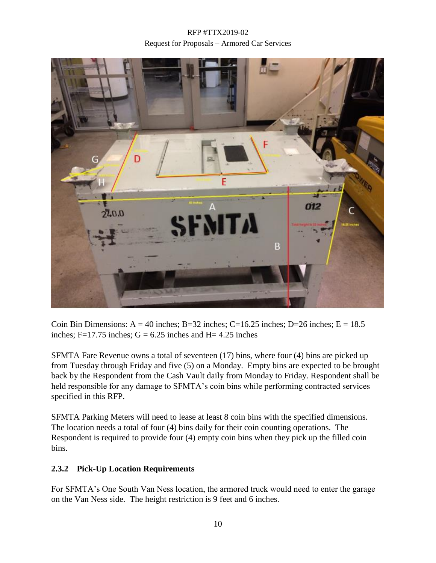

Coin Bin Dimensions:  $A = 40$  inches; B=32 inches; C=16.25 inches; D=26 inches; E = 18.5 inches; F=17.75 inches;  $G = 6.25$  inches and H= 4.25 inches

SFMTA Fare Revenue owns a total of seventeen (17) bins, where four (4) bins are picked up from Tuesday through Friday and five (5) on a Monday. Empty bins are expected to be brought back by the Respondent from the Cash Vault daily from Monday to Friday. Respondent shall be held responsible for any damage to SFMTA's coin bins while performing contracted services specified in this RFP.

SFMTA Parking Meters will need to lease at least 8 coin bins with the specified dimensions. The location needs a total of four (4) bins daily for their coin counting operations. The Respondent is required to provide four (4) empty coin bins when they pick up the filled coin bins.

### **2.3.2 Pick-Up Location Requirements**

For SFMTA's One South Van Ness location, the armored truck would need to enter the garage on the Van Ness side. The height restriction is 9 feet and 6 inches.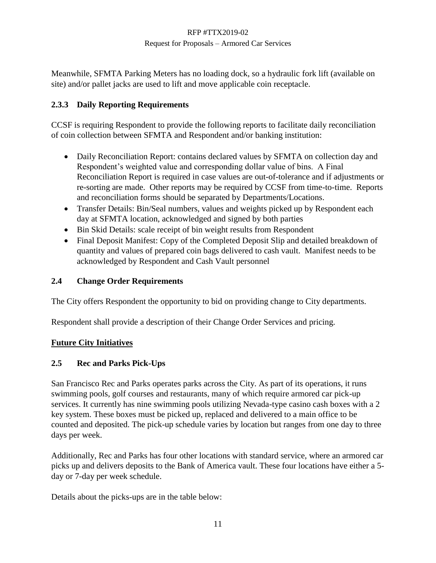Meanwhile, SFMTA Parking Meters has no loading dock, so a hydraulic fork lift (available on site) and/or pallet jacks are used to lift and move applicable coin receptacle.

# **2.3.3 Daily Reporting Requirements**

CCSF is requiring Respondent to provide the following reports to facilitate daily reconciliation of coin collection between SFMTA and Respondent and/or banking institution:

- Daily Reconciliation Report: contains declared values by SFMTA on collection day and Respondent's weighted value and corresponding dollar value of bins. A Final Reconciliation Report is required in case values are out-of-tolerance and if adjustments or re-sorting are made. Other reports may be required by CCSF from time-to-time. Reports and reconciliation forms should be separated by Departments/Locations.
- Transfer Details: Bin/Seal numbers, values and weights picked up by Respondent each day at SFMTA location, acknowledged and signed by both parties
- Bin Skid Details: scale receipt of bin weight results from Respondent
- Final Deposit Manifest: Copy of the Completed Deposit Slip and detailed breakdown of quantity and values of prepared coin bags delivered to cash vault. Manifest needs to be acknowledged by Respondent and Cash Vault personnel

# **2.4 Change Order Requirements**

The City offers Respondent the opportunity to bid on providing change to City departments.

Respondent shall provide a description of their Change Order Services and pricing.

### **Future City Initiatives**

### **2.5 Rec and Parks Pick-Ups**

San Francisco Rec and Parks operates parks across the City. As part of its operations, it runs swimming pools, golf courses and restaurants, many of which require armored car pick-up services. It currently has nine swimming pools utilizing Nevada-type casino cash boxes with a 2 key system. These boxes must be picked up, replaced and delivered to a main office to be counted and deposited. The pick-up schedule varies by location but ranges from one day to three days per week.

Additionally, Rec and Parks has four other locations with standard service, where an armored car picks up and delivers deposits to the Bank of America vault. These four locations have either a 5 day or 7-day per week schedule.

Details about the picks-ups are in the table below: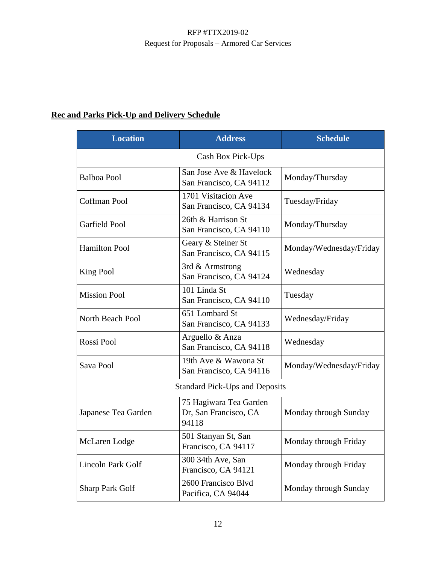# **Rec and Parks Pick-Up and Delivery Schedule**

| <b>Location</b>                       | <b>Address</b>                                                                    | <b>Schedule</b>         |  |  |  |
|---------------------------------------|-----------------------------------------------------------------------------------|-------------------------|--|--|--|
| Cash Box Pick-Ups                     |                                                                                   |                         |  |  |  |
| <b>Balboa Pool</b>                    | San Jose Ave & Havelock<br>San Francisco, CA 94112                                | Monday/Thursday         |  |  |  |
| Coffman Pool                          | 1701 Visitacion Ave<br>San Francisco, CA 94134                                    | Tuesday/Friday          |  |  |  |
| Garfield Pool                         | 26th & Harrison St<br>San Francisco, CA 94110                                     | Monday/Thursday         |  |  |  |
| <b>Hamilton Pool</b>                  | Geary & Steiner St<br>San Francisco, CA 94115                                     | Monday/Wednesday/Friday |  |  |  |
| <b>King Pool</b>                      | 3rd & Armstrong<br>San Francisco, CA 94124                                        | Wednesday               |  |  |  |
| <b>Mission Pool</b>                   | 101 Linda St<br>San Francisco, CA 94110                                           | Tuesday                 |  |  |  |
| North Beach Pool                      | 651 Lombard St<br>San Francisco, CA 94133                                         | Wednesday/Friday        |  |  |  |
| Rossi Pool                            | Arguello & Anza<br>San Francisco, CA 94118                                        | Wednesday               |  |  |  |
| Sava Pool                             | 19th Ave & Wawona St<br>San Francisco, CA 94116                                   | Monday/Wednesday/Friday |  |  |  |
| <b>Standard Pick-Ups and Deposits</b> |                                                                                   |                         |  |  |  |
| Japanese Tea Garden                   | 75 Hagiwara Tea Garden<br>Dr, San Francisco, CA<br>Monday through Sunday<br>94118 |                         |  |  |  |
| McLaren Lodge                         | 501 Stanyan St, San<br>Francisco, CA 94117                                        | Monday through Friday   |  |  |  |
| <b>Lincoln Park Golf</b>              | 300 34th Ave, San<br>Francisco, CA 94121                                          | Monday through Friday   |  |  |  |
| <b>Sharp Park Golf</b>                | 2600 Francisco Blvd<br>Pacifica, CA 94044                                         | Monday through Sunday   |  |  |  |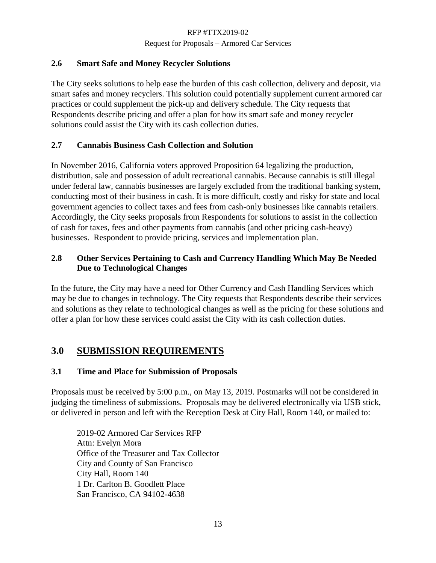Request for Proposals – Armored Car Services

### **2.6 Smart Safe and Money Recycler Solutions**

The City seeks solutions to help ease the burden of this cash collection, delivery and deposit, via smart safes and money recyclers. This solution could potentially supplement current armored car practices or could supplement the pick-up and delivery schedule. The City requests that Respondents describe pricing and offer a plan for how its smart safe and money recycler solutions could assist the City with its cash collection duties.

# **2.7 Cannabis Business Cash Collection and Solution**

In November 2016, California voters approved Proposition 64 legalizing the production, distribution, sale and possession of adult recreational cannabis. Because cannabis is still illegal under federal law, cannabis businesses are largely excluded from the traditional banking system, conducting most of their business in cash. It is more difficult, costly and risky for state and local government agencies to collect taxes and fees from cash-only businesses like cannabis retailers. Accordingly, the City seeks proposals from Respondents for solutions to assist in the collection of cash for taxes, fees and other payments from cannabis (and other pricing cash-heavy) businesses. Respondent to provide pricing, services and implementation plan.

# **2.8 Other Services Pertaining to Cash and Currency Handling Which May Be Needed Due to Technological Changes**

In the future, the City may have a need for Other Currency and Cash Handling Services which may be due to changes in technology. The City requests that Respondents describe their services and solutions as they relate to technological changes as well as the pricing for these solutions and offer a plan for how these services could assist the City with its cash collection duties.

# <span id="page-13-0"></span>**3.0 SUBMISSION REQUIREMENTS**

# **3.1 Time and Place for Submission of Proposals**

Proposals must be received by 5:00 p.m., on May 13, 2019. Postmarks will not be considered in judging the timeliness of submissions. Proposals may be delivered electronically via USB stick, or delivered in person and left with the Reception Desk at City Hall, Room 140, or mailed to:

2019-02 Armored Car Services RFP Attn: Evelyn Mora Office of the Treasurer and Tax Collector City and County of San Francisco City Hall, Room 140 1 Dr. Carlton B. Goodlett Place San Francisco, CA 94102-4638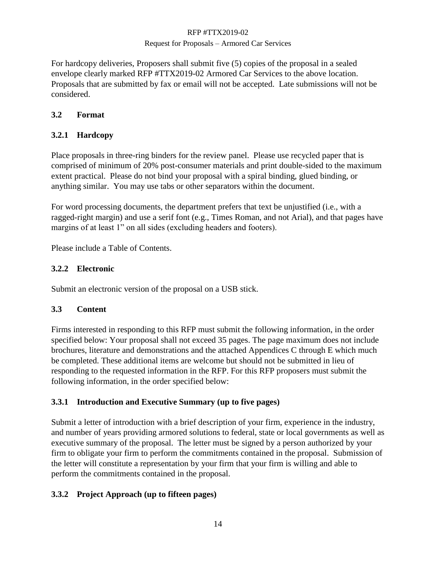### Request for Proposals – Armored Car Services

For hardcopy deliveries, Proposers shall submit five (5) copies of the proposal in a sealed envelope clearly marked RFP #TTX2019-02 Armored Car Services to the above location. Proposals that are submitted by fax or email will not be accepted. Late submissions will not be considered.

### **3.2 Format**

# **3.2.1 Hardcopy**

Place proposals in three-ring binders for the review panel. Please use recycled paper that is comprised of minimum of 20% post-consumer materials and print double-sided to the maximum extent practical. Please do not bind your proposal with a spiral binding, glued binding, or anything similar. You may use tabs or other separators within the document.

For word processing documents, the department prefers that text be unjustified (i.e., with a ragged-right margin) and use a serif font (e.g., Times Roman, and not Arial), and that pages have margins of at least 1" on all sides (excluding headers and footers).

Please include a Table of Contents.

### **3.2.2 Electronic**

Submit an electronic version of the proposal on a USB stick.

### **3.3 Content**

Firms interested in responding to this RFP must submit the following information, in the order specified below: Your proposal shall not exceed 35 pages. The page maximum does not include brochures, literature and demonstrations and the attached Appendices C through E which much be completed. These additional items are welcome but should not be submitted in lieu of responding to the requested information in the RFP. For this RFP proposers must submit the following information, in the order specified below:

### **3.3.1 Introduction and Executive Summary (up to five pages)**

Submit a letter of introduction with a brief description of your firm, experience in the industry, and number of years providing armored solutions to federal, state or local governments as well as executive summary of the proposal. The letter must be signed by a person authorized by your firm to obligate your firm to perform the commitments contained in the proposal. Submission of the letter will constitute a representation by your firm that your firm is willing and able to perform the commitments contained in the proposal.

# **3.3.2 Project Approach (up to fifteen pages)**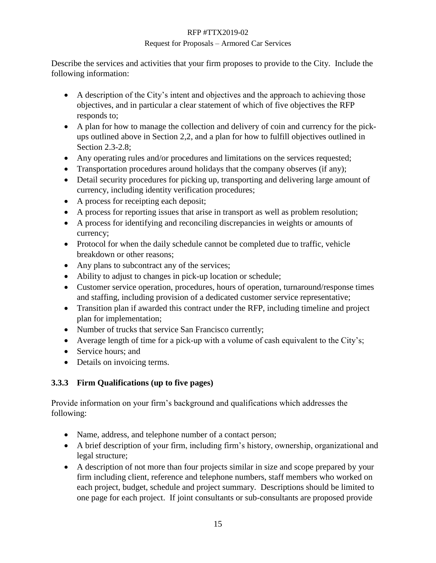### Request for Proposals – Armored Car Services

Describe the services and activities that your firm proposes to provide to the City. Include the following information:

- A description of the City's intent and objectives and the approach to achieving those objectives, and in particular a clear statement of which of five objectives the RFP responds to;
- A plan for how to manage the collection and delivery of coin and currency for the pickups outlined above in Section 2,2, and a plan for how to fulfill objectives outlined in Section 2.3-2.8;
- Any operating rules and/or procedures and limitations on the services requested;
- Transportation procedures around holidays that the company observes (if any);
- Detail security procedures for picking up, transporting and delivering large amount of currency, including identity verification procedures;
- A process for receipting each deposit;
- A process for reporting issues that arise in transport as well as problem resolution;
- A process for identifying and reconciling discrepancies in weights or amounts of currency;
- Protocol for when the daily schedule cannot be completed due to traffic, vehicle breakdown or other reasons;
- Any plans to subcontract any of the services;
- Ability to adjust to changes in pick-up location or schedule;
- Customer service operation, procedures, hours of operation, turnaround/response times and staffing, including provision of a dedicated customer service representative;
- Transition plan if awarded this contract under the RFP, including timeline and project plan for implementation;
- Number of trucks that service San Francisco currently;
- Average length of time for a pick-up with a volume of cash equivalent to the City's;
- Service hours: and
- Details on invoicing terms.

# **3.3.3 Firm Qualifications (up to five pages)**

Provide information on your firm's background and qualifications which addresses the following:

- Name, address, and telephone number of a contact person;
- A brief description of your firm, including firm's history, ownership, organizational and legal structure;
- A description of not more than four projects similar in size and scope prepared by your firm including client, reference and telephone numbers, staff members who worked on each project, budget, schedule and project summary. Descriptions should be limited to one page for each project. If joint consultants or sub-consultants are proposed provide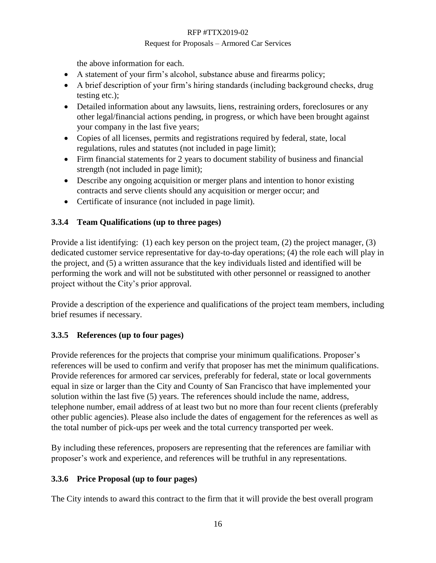### Request for Proposals – Armored Car Services

the above information for each.

- A statement of your firm's alcohol, substance abuse and firearms policy;
- A brief description of your firm's hiring standards (including background checks, drug testing etc.);
- Detailed information about any lawsuits, liens, restraining orders, foreclosures or any other legal/financial actions pending, in progress, or which have been brought against your company in the last five years;
- Copies of all licenses, permits and registrations required by federal, state, local regulations, rules and statutes (not included in page limit);
- Firm financial statements for 2 years to document stability of business and financial strength (not included in page limit);
- Describe any ongoing acquisition or merger plans and intention to honor existing contracts and serve clients should any acquisition or merger occur; and
- Certificate of insurance (not included in page limit).

# **3.3.4 Team Qualifications (up to three pages)**

Provide a list identifying: (1) each key person on the project team, (2) the project manager, (3) dedicated customer service representative for day-to-day operations; (4) the role each will play in the project, and (5) a written assurance that the key individuals listed and identified will be performing the work and will not be substituted with other personnel or reassigned to another project without the City's prior approval.

Provide a description of the experience and qualifications of the project team members, including brief resumes if necessary.

# **3.3.5 References (up to four pages)**

Provide references for the projects that comprise your minimum qualifications. Proposer's references will be used to confirm and verify that proposer has met the minimum qualifications. Provide references for armored car services, preferably for federal, state or local governments equal in size or larger than the City and County of San Francisco that have implemented your solution within the last five (5) years. The references should include the name, address, telephone number, email address of at least two but no more than four recent clients (preferably other public agencies). Please also include the dates of engagement for the references as well as the total number of pick-ups per week and the total currency transported per week.

By including these references, proposers are representing that the references are familiar with proposer's work and experience, and references will be truthful in any representations.

# **3.3.6 Price Proposal (up to four pages)**

The City intends to award this contract to the firm that it will provide the best overall program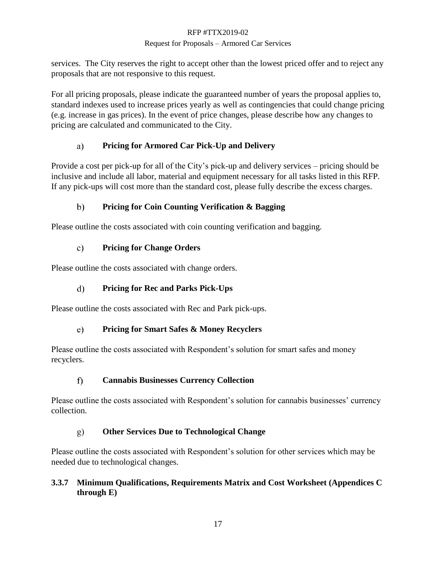### Request for Proposals – Armored Car Services

services. The City reserves the right to accept other than the lowest priced offer and to reject any proposals that are not responsive to this request.

For all pricing proposals, please indicate the guaranteed number of years the proposal applies to, standard indexes used to increase prices yearly as well as contingencies that could change pricing (e.g. increase in gas prices). In the event of price changes, please describe how any changes to pricing are calculated and communicated to the City.

#### a) **Pricing for Armored Car Pick-Up and Delivery**

Provide a cost per pick-up for all of the City's pick-up and delivery services – pricing should be inclusive and include all labor, material and equipment necessary for all tasks listed in this RFP. If any pick-ups will cost more than the standard cost, please fully describe the excess charges.

#### $\mathbf{b}$ **Pricing for Coin Counting Verification & Bagging**

Please outline the costs associated with coin counting verification and bagging.

#### $c)$ **Pricing for Change Orders**

Please outline the costs associated with change orders.

#### $\mathbf{d}$ **Pricing for Rec and Parks Pick-Ups**

Please outline the costs associated with Rec and Park pick-ups.

#### **Pricing for Smart Safes & Money Recyclers**  $e)$

Please outline the costs associated with Respondent's solution for smart safes and money recyclers.

#### $\mathbf{f}$ **Cannabis Businesses Currency Collection**

Please outline the costs associated with Respondent's solution for cannabis businesses' currency collection.

#### **Other Services Due to Technological Change**  $g)$

Please outline the costs associated with Respondent's solution for other services which may be needed due to technological changes.

# **3.3.7 Minimum Qualifications, Requirements Matrix and Cost Worksheet (Appendices C through E)**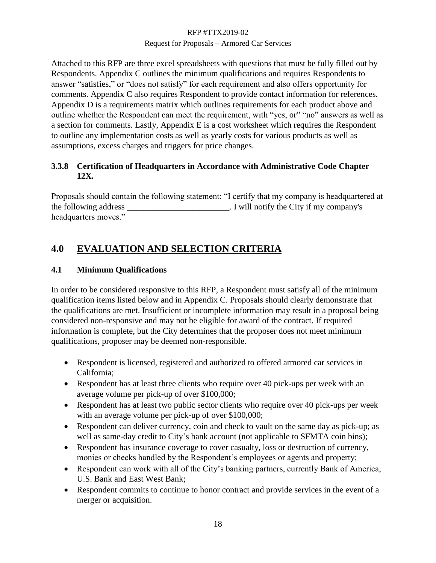### Request for Proposals – Armored Car Services

Attached to this RFP are three excel spreadsheets with questions that must be fully filled out by Respondents. Appendix C outlines the minimum qualifications and requires Respondents to answer "satisfies," or "does not satisfy" for each requirement and also offers opportunity for comments. Appendix C also requires Respondent to provide contact information for references. Appendix D is a requirements matrix which outlines requirements for each product above and outline whether the Respondent can meet the requirement, with "yes, or" "no" answers as well as a section for comments. Lastly, Appendix E is a cost worksheet which requires the Respondent to outline any implementation costs as well as yearly costs for various products as well as assumptions, excess charges and triggers for price changes.

# **3.3.8 Certification of Headquarters in Accordance with Administrative Code Chapter 12X.**

Proposals should contain the following statement: "I certify that my company is headquartered at the following address \_\_\_\_\_\_\_\_\_\_\_\_\_\_\_\_\_\_\_\_\_\_\_\_. I will notify the City if my company's headquarters moves."

# <span id="page-18-0"></span>**4.0 EVALUATION AND SELECTION CRITERIA**

# **4.1 Minimum Qualifications**

In order to be considered responsive to this RFP, a Respondent must satisfy all of the minimum qualification items listed below and in Appendix C. Proposals should clearly demonstrate that the qualifications are met. Insufficient or incomplete information may result in a proposal being considered non-responsive and may not be eligible for award of the contract. If required information is complete, but the City determines that the proposer does not meet minimum qualifications, proposer may be deemed non-responsible.

- Respondent is licensed, registered and authorized to offered armored car services in California;
- Respondent has at least three clients who require over 40 pick-ups per week with an average volume per pick-up of over \$100,000;
- Respondent has at least two public sector clients who require over 40 pick-ups per week with an average volume per pick-up of over \$100,000;
- Respondent can deliver currency, coin and check to vault on the same day as pick-up; as well as same-day credit to City's bank account (not applicable to SFMTA coin bins);
- Respondent has insurance coverage to cover casualty, loss or destruction of currency, monies or checks handled by the Respondent's employees or agents and property;
- Respondent can work with all of the City's banking partners, currently Bank of America, U.S. Bank and East West Bank;
- Respondent commits to continue to honor contract and provide services in the event of a merger or acquisition.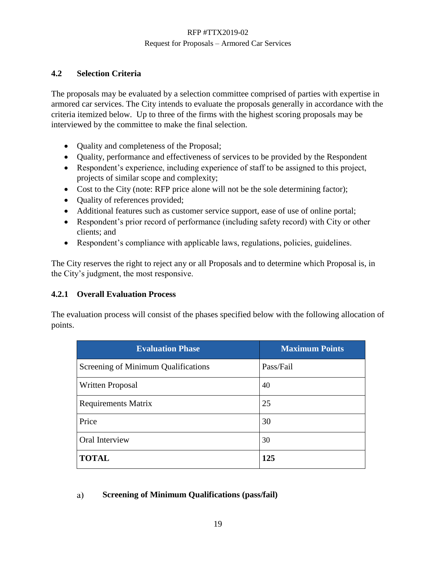# **4.2 Selection Criteria**

The proposals may be evaluated by a selection committee comprised of parties with expertise in armored car services. The City intends to evaluate the proposals generally in accordance with the criteria itemized below. Up to three of the firms with the highest scoring proposals may be interviewed by the committee to make the final selection.

- Quality and completeness of the Proposal;
- Quality, performance and effectiveness of services to be provided by the Respondent
- Respondent's experience, including experience of staff to be assigned to this project, projects of similar scope and complexity;
- Cost to the City (note: RFP price alone will not be the sole determining factor);
- Quality of references provided;
- Additional features such as customer service support, ease of use of online portal;
- Respondent's prior record of performance (including safety record) with City or other clients; and
- Respondent's compliance with applicable laws, regulations, policies, guidelines.

The City reserves the right to reject any or all Proposals and to determine which Proposal is, in the City's judgment, the most responsive.

### **4.2.1 Overall Evaluation Process**

The evaluation process will consist of the phases specified below with the following allocation of points.

| <b>Evaluation Phase</b>             | <b>Maximum Points</b> |
|-------------------------------------|-----------------------|
| Screening of Minimum Qualifications | Pass/Fail             |
| <b>Written Proposal</b>             | 40                    |
| <b>Requirements Matrix</b>          | 25                    |
| Price                               | 30                    |
| Oral Interview                      | 30                    |
| <b>TOTAL</b>                        | 125                   |

#### **Screening of Minimum Qualifications (pass/fail)**a)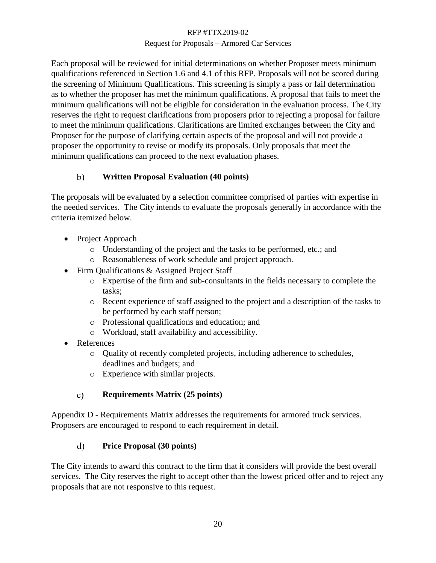### Request for Proposals – Armored Car Services

Each proposal will be reviewed for initial determinations on whether Proposer meets minimum qualifications referenced in Section 1.6 and 4.1 of this RFP. Proposals will not be scored during the screening of Minimum Qualifications. This screening is simply a pass or fail determination as to whether the proposer has met the minimum qualifications. A proposal that fails to meet the minimum qualifications will not be eligible for consideration in the evaluation process. The City reserves the right to request clarifications from proposers prior to rejecting a proposal for failure to meet the minimum qualifications. Clarifications are limited exchanges between the City and Proposer for the purpose of clarifying certain aspects of the proposal and will not provide a proposer the opportunity to revise or modify its proposals. Only proposals that meet the minimum qualifications can proceed to the next evaluation phases.

#### $b)$ **Written Proposal Evaluation (40 points)**

The proposals will be evaluated by a selection committee comprised of parties with expertise in the needed services. The City intends to evaluate the proposals generally in accordance with the criteria itemized below.

- Project Approach
	- o Understanding of the project and the tasks to be performed, etc.; and
	- o Reasonableness of work schedule and project approach.
- Firm Qualifications & Assigned Project Staff
	- o Expertise of the firm and sub-consultants in the fields necessary to complete the tasks;
	- o Recent experience of staff assigned to the project and a description of the tasks to be performed by each staff person;
	- o Professional qualifications and education; and
	- o Workload, staff availability and accessibility.
- References
	- o Quality of recently completed projects, including adherence to schedules, deadlines and budgets; and
	- o Experience with similar projects.

#### **Requirements Matrix (25 points)**   $\mathbf{c})$

Appendix D - Requirements Matrix addresses the requirements for armored truck services. Proposers are encouraged to respond to each requirement in detail.

#### $\mathbf{d}$ **Price Proposal (30 points)**

The City intends to award this contract to the firm that it considers will provide the best overall services. The City reserves the right to accept other than the lowest priced offer and to reject any proposals that are not responsive to this request.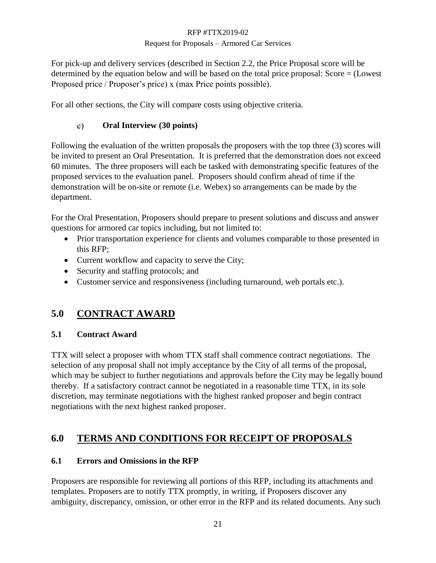### Request for Proposals – Armored Car Services

For pick-up and delivery services (described in Section 2.2, the Price Proposal score will be determined by the equation below and will be based on the total price proposal: Score = (Lowest Proposed price / Proposer's price) x (max Price points possible).

For all other sections, the City will compare costs using objective criteria.

#### **Oral Interview (30 points)**  $e)$

Following the evaluation of the written proposals the proposers with the top three (3) scores will be invited to present an Oral Presentation. It is preferred that the demonstration does not exceed 60 minutes. The three proposers will each be tasked with demonstrating specific features of the proposed services to the evaluation panel. Proposers should confirm ahead of time if the demonstration will be on-site or remote (i.e. Webex) so arrangements can be made by the department.

For the Oral Presentation, Proposers should prepare to present solutions and discuss and answer questions for armored car topics including, but not limited to:

- Prior transportation experience for clients and volumes comparable to those presented in this RFP;
- Current workflow and capacity to serve the City;
- Security and staffing protocols; and
- Customer service and responsiveness (including turnaround, web portals etc.).

# <span id="page-21-0"></span>**5.0 CONTRACT AWARD**

# **5.1 Contract Award**

TTX will select a proposer with whom TTX staff shall commence contract negotiations. The selection of any proposal shall not imply acceptance by the City of all terms of the proposal, which may be subject to further negotiations and approvals before the City may be legally bound thereby. If a satisfactory contract cannot be negotiated in a reasonable time TTX, in its sole discretion, may terminate negotiations with the highest ranked proposer and begin contract negotiations with the next highest ranked proposer.

# <span id="page-21-1"></span>**6.0 TERMS AND CONDITIONS FOR RECEIPT OF PROPOSALS**

# **6.1 Errors and Omissions in the RFP**

Proposers are responsible for reviewing all portions of this RFP, including its attachments and templates. Proposers are to notify TTX promptly, in writing, if Proposers discover any ambiguity, discrepancy, omission, or other error in the RFP and its related documents. Any such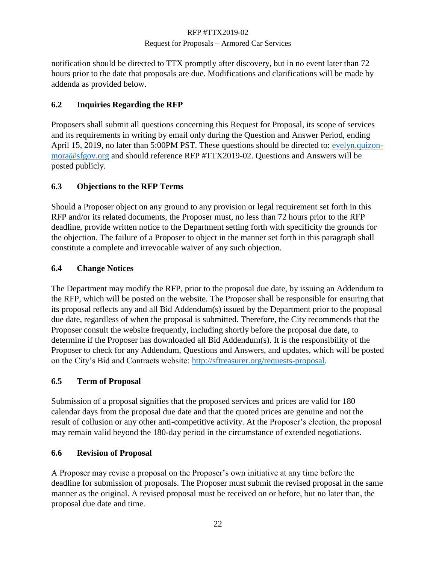### Request for Proposals – Armored Car Services

notification should be directed to TTX promptly after discovery, but in no event later than 72 hours prior to the date that proposals are due. Modifications and clarifications will be made by addenda as provided below.

# **6.2 Inquiries Regarding the RFP**

Proposers shall submit all questions concerning this Request for Proposal, its scope of services and its requirements in writing by email only during the Question and Answer Period, ending April 15, 2019, no later than 5:00PM PST. These questions should be directed to: [evelyn.quizon](mailto:evelyn.quizon-mora@sfgov.org)[mora@sfgov.org](mailto:evelyn.quizon-mora@sfgov.org) and should reference RFP #TTX2019-02. Questions and Answers will be posted publicly.

# **6.3 Objections to the RFP Terms**

Should a Proposer object on any ground to any provision or legal requirement set forth in this RFP and/or its related documents, the Proposer must, no less than 72 hours prior to the RFP deadline, provide written notice to the Department setting forth with specificity the grounds for the objection. The failure of a Proposer to object in the manner set forth in this paragraph shall constitute a complete and irrevocable waiver of any such objection.

# **6.4 Change Notices**

The Department may modify the RFP, prior to the proposal due date, by issuing an Addendum to the RFP, which will be posted on the website. The Proposer shall be responsible for ensuring that its proposal reflects any and all Bid Addendum(s) issued by the Department prior to the proposal due date, regardless of when the proposal is submitted. Therefore, the City recommends that the Proposer consult the website frequently, including shortly before the proposal due date, to determine if the Proposer has downloaded all Bid Addendum(s). It is the responsibility of the Proposer to check for any Addendum, Questions and Answers, and updates, which will be posted on the City's Bid and Contracts website: [http://sftreasurer.org/requests-proposal.](http://sftreasurer.org/requests-proposal)

### **6.5 Term of Proposal**

Submission of a proposal signifies that the proposed services and prices are valid for 180 calendar days from the proposal due date and that the quoted prices are genuine and not the result of collusion or any other anti-competitive activity. At the Proposer's election, the proposal may remain valid beyond the 180-day period in the circumstance of extended negotiations.

### **6.6 Revision of Proposal**

A Proposer may revise a proposal on the Proposer's own initiative at any time before the deadline for submission of proposals. The Proposer must submit the revised proposal in the same manner as the original. A revised proposal must be received on or before, but no later than, the proposal due date and time.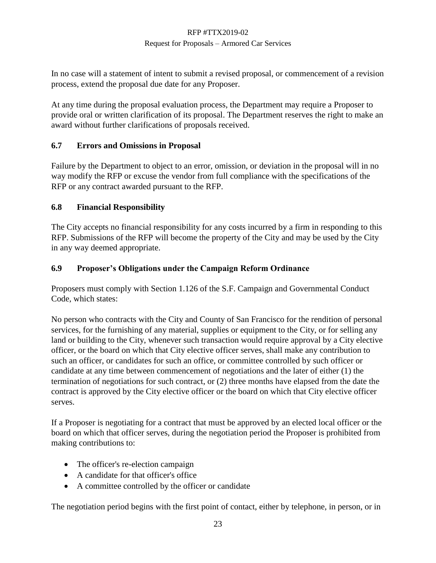### Request for Proposals – Armored Car Services

In no case will a statement of intent to submit a revised proposal, or commencement of a revision process, extend the proposal due date for any Proposer.

At any time during the proposal evaluation process, the Department may require a Proposer to provide oral or written clarification of its proposal. The Department reserves the right to make an award without further clarifications of proposals received.

# **6.7 Errors and Omissions in Proposal**

Failure by the Department to object to an error, omission, or deviation in the proposal will in no way modify the RFP or excuse the vendor from full compliance with the specifications of the RFP or any contract awarded pursuant to the RFP.

# **6.8 Financial Responsibility**

The City accepts no financial responsibility for any costs incurred by a firm in responding to this RFP. Submissions of the RFP will become the property of the City and may be used by the City in any way deemed appropriate.

# **6.9 Proposer's Obligations under the Campaign Reform Ordinance**

Proposers must comply with Section 1.126 of the S.F. Campaign and Governmental Conduct Code, which states:

No person who contracts with the City and County of San Francisco for the rendition of personal services, for the furnishing of any material, supplies or equipment to the City, or for selling any land or building to the City, whenever such transaction would require approval by a City elective officer, or the board on which that City elective officer serves, shall make any contribution to such an officer, or candidates for such an office, or committee controlled by such officer or candidate at any time between commencement of negotiations and the later of either (1) the termination of negotiations for such contract, or (2) three months have elapsed from the date the contract is approved by the City elective officer or the board on which that City elective officer serves.

If a Proposer is negotiating for a contract that must be approved by an elected local officer or the board on which that officer serves, during the negotiation period the Proposer is prohibited from making contributions to:

- The officer's re-election campaign
- A candidate for that officer's office
- A committee controlled by the officer or candidate

The negotiation period begins with the first point of contact, either by telephone, in person, or in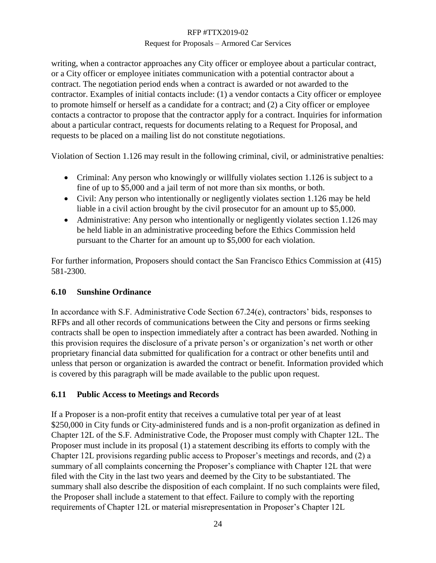### Request for Proposals – Armored Car Services

writing, when a contractor approaches any City officer or employee about a particular contract, or a City officer or employee initiates communication with a potential contractor about a contract. The negotiation period ends when a contract is awarded or not awarded to the contractor. Examples of initial contacts include: (1) a vendor contacts a City officer or employee to promote himself or herself as a candidate for a contract; and (2) a City officer or employee contacts a contractor to propose that the contractor apply for a contract. Inquiries for information about a particular contract, requests for documents relating to a Request for Proposal, and requests to be placed on a mailing list do not constitute negotiations.

Violation of Section 1.126 may result in the following criminal, civil, or administrative penalties:

- Criminal: Any person who knowingly or willfully violates section 1.126 is subject to a fine of up to \$5,000 and a jail term of not more than six months, or both.
- Civil: Any person who intentionally or negligently violates section 1.126 may be held liable in a civil action brought by the civil prosecutor for an amount up to \$5,000.
- Administrative: Any person who intentionally or negligently violates section 1.126 may be held liable in an administrative proceeding before the Ethics Commission held pursuant to the Charter for an amount up to \$5,000 for each violation.

For further information, Proposers should contact the San Francisco Ethics Commission at (415) 581-2300.

# **6.10 Sunshine Ordinance**

In accordance with S.F. Administrative Code Section 67.24(e), contractors' bids, responses to RFPs and all other records of communications between the City and persons or firms seeking contracts shall be open to inspection immediately after a contract has been awarded. Nothing in this provision requires the disclosure of a private person's or organization's net worth or other proprietary financial data submitted for qualification for a contract or other benefits until and unless that person or organization is awarded the contract or benefit. Information provided which is covered by this paragraph will be made available to the public upon request.

# **6.11 Public Access to Meetings and Records**

If a Proposer is a non-profit entity that receives a cumulative total per year of at least \$250,000 in City funds or City-administered funds and is a non-profit organization as defined in Chapter 12L of the S.F. Administrative Code, the Proposer must comply with Chapter 12L. The Proposer must include in its proposal (1) a statement describing its efforts to comply with the Chapter 12L provisions regarding public access to Proposer's meetings and records, and (2) a summary of all complaints concerning the Proposer's compliance with Chapter 12L that were filed with the City in the last two years and deemed by the City to be substantiated. The summary shall also describe the disposition of each complaint. If no such complaints were filed, the Proposer shall include a statement to that effect. Failure to comply with the reporting requirements of Chapter 12L or material misrepresentation in Proposer's Chapter 12L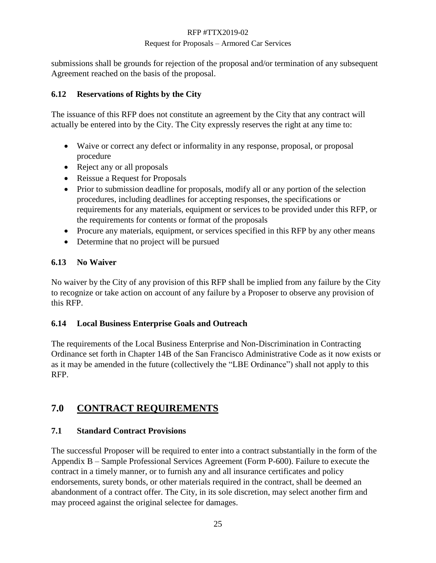### Request for Proposals – Armored Car Services

submissions shall be grounds for rejection of the proposal and/or termination of any subsequent Agreement reached on the basis of the proposal.

# **6.12 Reservations of Rights by the City**

The issuance of this RFP does not constitute an agreement by the City that any contract will actually be entered into by the City. The City expressly reserves the right at any time to:

- Waive or correct any defect or informality in any response, proposal, or proposal procedure
- Reject any or all proposals
- Reissue a Request for Proposals
- Prior to submission deadline for proposals, modify all or any portion of the selection procedures, including deadlines for accepting responses, the specifications or requirements for any materials, equipment or services to be provided under this RFP, or the requirements for contents or format of the proposals
- Procure any materials, equipment, or services specified in this RFP by any other means
- Determine that no project will be pursued

# **6.13 No Waiver**

No waiver by the City of any provision of this RFP shall be implied from any failure by the City to recognize or take action on account of any failure by a Proposer to observe any provision of this RFP.

# **6.14 Local Business Enterprise Goals and Outreach**

The requirements of the Local Business Enterprise and Non-Discrimination in Contracting Ordinance set forth in Chapter 14B of the San Francisco Administrative Code as it now exists or as it may be amended in the future (collectively the "LBE Ordinance") shall not apply to this RFP.

# <span id="page-25-0"></span>**7.0 CONTRACT REQUIREMENTS**

# **7.1 Standard Contract Provisions**

The successful Proposer will be required to enter into a contract substantially in the form of the Appendix B – Sample Professional Services Agreement (Form P-600). Failure to execute the contract in a timely manner, or to furnish any and all insurance certificates and policy endorsements, surety bonds, or other materials required in the contract, shall be deemed an abandonment of a contract offer. The City, in its sole discretion, may select another firm and may proceed against the original selectee for damages.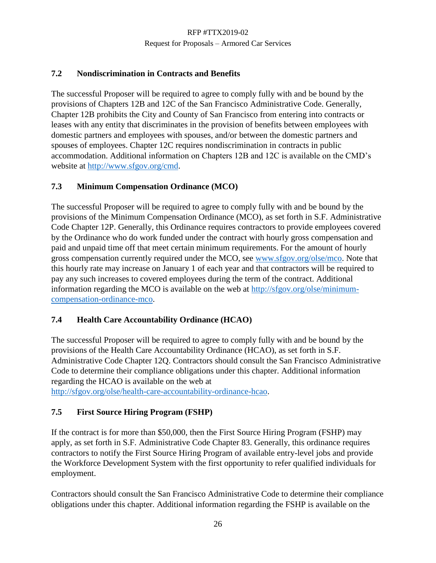# **7.2 Nondiscrimination in Contracts and Benefits**

The successful Proposer will be required to agree to comply fully with and be bound by the provisions of Chapters 12B and 12C of the San Francisco Administrative Code. Generally, Chapter 12B prohibits the City and County of San Francisco from entering into contracts or leases with any entity that discriminates in the provision of benefits between employees with domestic partners and employees with spouses, and/or between the domestic partners and spouses of employees. Chapter 12C requires nondiscrimination in contracts in public accommodation. Additional information on Chapters 12B and 12C is available on the CMD's website at [http://www.sfgov.org/cmd.](http://www.sfgov.org/cmd)

# **7.3 Minimum Compensation Ordinance (MCO)**

The successful Proposer will be required to agree to comply fully with and be bound by the provisions of the Minimum Compensation Ordinance (MCO), as set forth in S.F. Administrative Code Chapter 12P. Generally, this Ordinance requires contractors to provide employees covered by the Ordinance who do work funded under the contract with hourly gross compensation and paid and unpaid time off that meet certain minimum requirements. For the amount of hourly gross compensation currently required under the MCO, see [www.sfgov.org/olse/mco.](http://www.sfgov.org/olse/mco) Note that this hourly rate may increase on January 1 of each year and that contractors will be required to pay any such increases to covered employees during the term of the contract. Additional information regarding the MCO is available on the web at [http://sfgov.org/olse/minimum](http://sfgov.org/olse/minimum-compensation-ordinance-mco)[compensation-ordinance-mco.](http://sfgov.org/olse/minimum-compensation-ordinance-mco)

# **7.4 Health Care Accountability Ordinance (HCAO)**

The successful Proposer will be required to agree to comply fully with and be bound by the provisions of the Health Care Accountability Ordinance (HCAO), as set forth in S.F. Administrative Code Chapter 12Q. Contractors should consult the San Francisco Administrative Code to determine their compliance obligations under this chapter. Additional information regarding the HCAO is available on the web at

[http://sfgov.org/olse/health-care-accountability-ordinance-hcao.](http://sfgov.org/olse/health-care-accountability-ordinance-hcao)

# **7.5 First Source Hiring Program (FSHP)**

If the contract is for more than \$50,000, then the First Source Hiring Program (FSHP) may apply, as set forth in S.F. Administrative Code Chapter 83. Generally, this ordinance requires contractors to notify the First Source Hiring Program of available entry-level jobs and provide the Workforce Development System with the first opportunity to refer qualified individuals for employment.

Contractors should consult the San Francisco Administrative Code to determine their compliance obligations under this chapter. Additional information regarding the FSHP is available on the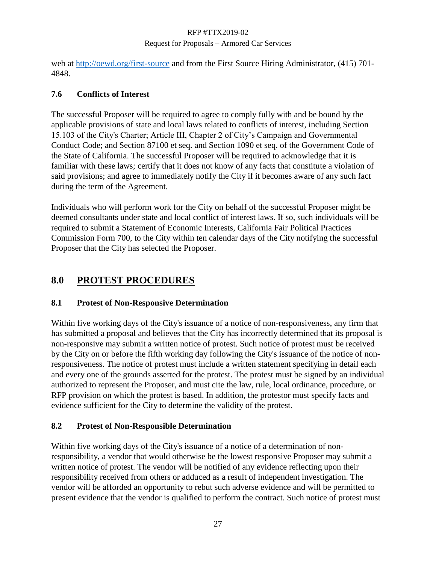### Request for Proposals – Armored Car Services

web at<http://oewd.org/first-source> and from the First Source Hiring Administrator, (415) 701- 4848.

# **7.6 Conflicts of Interest**

The successful Proposer will be required to agree to comply fully with and be bound by the applicable provisions of state and local laws related to conflicts of interest, including Section 15.103 of the City's Charter; Article III, Chapter 2 of City's Campaign and Governmental Conduct Code; and Section 87100 et seq. and Section 1090 et seq. of the Government Code of the State of California. The successful Proposer will be required to acknowledge that it is familiar with these laws; certify that it does not know of any facts that constitute a violation of said provisions; and agree to immediately notify the City if it becomes aware of any such fact during the term of the Agreement.

Individuals who will perform work for the City on behalf of the successful Proposer might be deemed consultants under state and local conflict of interest laws. If so, such individuals will be required to submit a Statement of Economic Interests, California Fair Political Practices Commission Form 700, to the City within ten calendar days of the City notifying the successful Proposer that the City has selected the Proposer.

# <span id="page-27-0"></span>**8.0 PROTEST PROCEDURES**

# **8.1 Protest of Non-Responsive Determination**

Within five working days of the City's issuance of a notice of non-responsiveness, any firm that has submitted a proposal and believes that the City has incorrectly determined that its proposal is non-responsive may submit a written notice of protest. Such notice of protest must be received by the City on or before the fifth working day following the City's issuance of the notice of nonresponsiveness. The notice of protest must include a written statement specifying in detail each and every one of the grounds asserted for the protest. The protest must be signed by an individual authorized to represent the Proposer, and must cite the law, rule, local ordinance, procedure, or RFP provision on which the protest is based. In addition, the protestor must specify facts and evidence sufficient for the City to determine the validity of the protest.

# **8.2 Protest of Non-Responsible Determination**

Within five working days of the City's issuance of a notice of a determination of nonresponsibility, a vendor that would otherwise be the lowest responsive Proposer may submit a written notice of protest. The vendor will be notified of any evidence reflecting upon their responsibility received from others or adduced as a result of independent investigation. The vendor will be afforded an opportunity to rebut such adverse evidence and will be permitted to present evidence that the vendor is qualified to perform the contract. Such notice of protest must